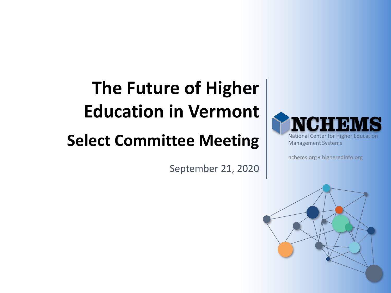# **The Future of Higher Education in Vermont**

# **Select Committee Meeting**

September 21, 2020



nchems.org • higheredinfo.org

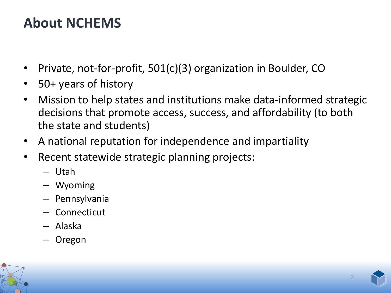# **About NCHEMS**

- Private, not-for-profit, 501(c)(3) organization in Boulder, CO
- 50+ years of history
- Mission to help states and institutions make data-informed strategic decisions that promote access, success, and affordability (to both the state and students)
- A national reputation for independence and impartiality
- Recent statewide strategic planning projects:
	- Utah
	- Wyoming
	- Pennsylvania
	- Connecticut
	- Alaska
	- Oregon



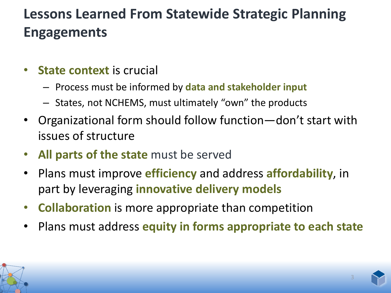# **Lessons Learned From Statewide Strategic Planning Engagements**

- **State context** is crucial
	- Process must be informed by **data and stakeholder input**
	- States, not NCHEMS, must ultimately "own" the products
- Organizational form should follow function—don't start with issues of structure
- **All parts of the state** must be served
- Plans must improve **efficiency** and address **affordability**, in part by leveraging **innovative delivery models**
- **Collaboration** is more appropriate than competition
- Plans must address **equity in forms appropriate to each state**

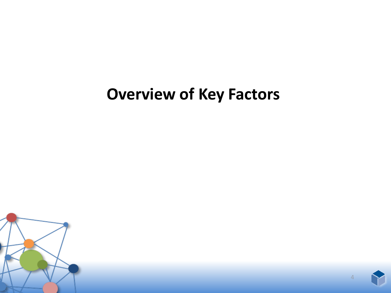# **Overview of Key Factors**



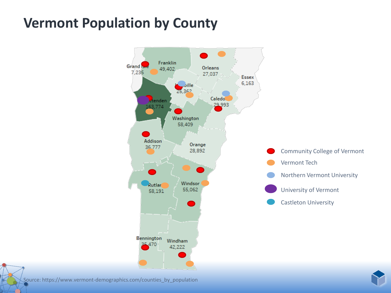### **Vermont Population by County**



Source: https://www.vermont-demographics.com/counties\_by\_population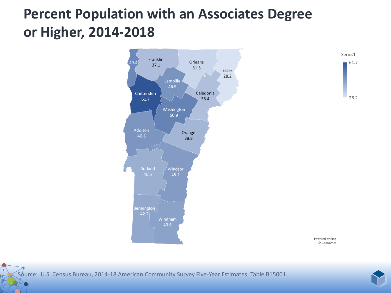# **Percent Population with an Associates Degree or Higher, 2014-2018**



Source: U.S. Census Bureau, 2014-18 American Community Survey Five-Year Estimates; Table B15001.

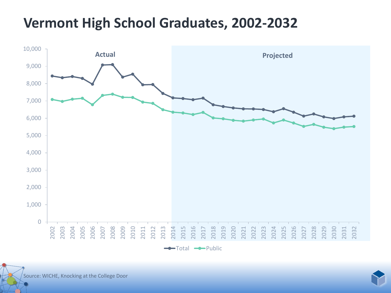### **Vermont High School Graduates, 2002-2032**



 $\leftarrow$ Total  $\leftarrow$ Public



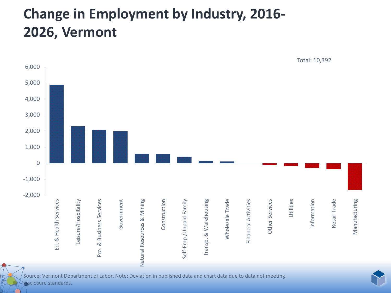# **Change in Employment by Industry, 2016- 2026, Vermont**



Source: Vermont Department of Labor. Note: Deviation in published data and chart data due to data not meeting disclosure standards.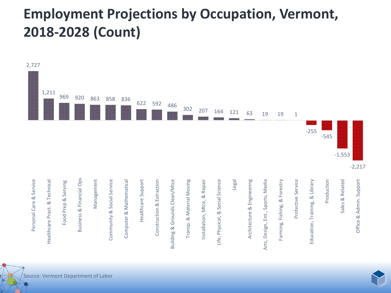# **Employment Projections by Occupation, Vermont, 2018-2028 (Count)**

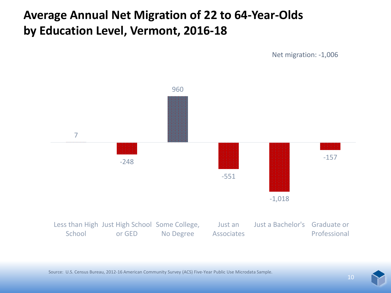#### **Average Annual Net Migration of 22 to 64-Year-Olds by Education Level, Vermont, 2016-18**

Net migration: -1,006

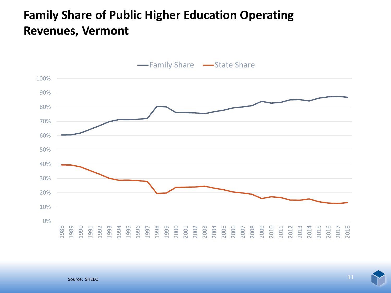#### **Family Share of Public Higher Education Operating Revenues, Vermont**

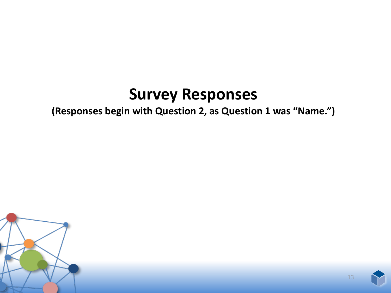# **Survey Responses**

#### **(Responses begin with Question 2, as Question 1 was "Name.")**



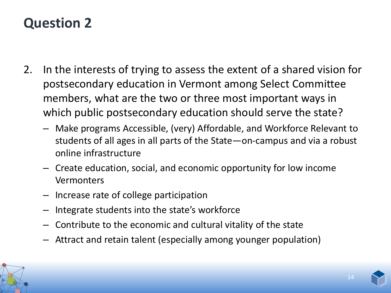- 2. In the interests of trying to assess the extent of a shared vision for postsecondary education in Vermont among Select Committee members, what are the two or three most important ways in which public postsecondary education should serve the state?
	- Make programs Accessible, (very) Affordable, and Workforce Relevant to students of all ages in all parts of the State—on-campus and via a robust online infrastructure
	- Create education, social, and economic opportunity for low income Vermonters
	- Increase rate of college participation
	- Integrate students into the state's workforce
	- Contribute to the economic and cultural vitality of the state
	- Attract and retain talent (especially among younger population)

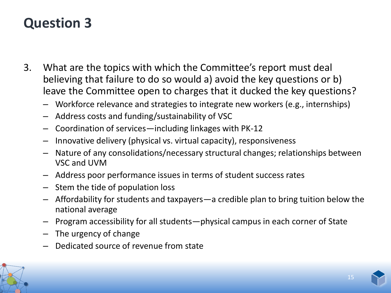- 3. What are the topics with which the Committee's report must deal believing that failure to do so would a) avoid the key questions or b) leave the Committee open to charges that it ducked the key questions?
	- Workforce relevance and strategies to integrate new workers (e.g., internships)
	- Address costs and funding/sustainability of VSC
	- Coordination of services—including linkages with PK-12
	- Innovative delivery (physical vs. virtual capacity), responsiveness
	- Nature of any consolidations/necessary structural changes; relationships between VSC and UVM
	- Address poor performance issues in terms of student success rates
	- Stem the tide of population loss
	- Affordability for students and taxpayers—a credible plan to bring tuition below the national average
	- Program accessibility for all students—physical campus in each corner of State
	- The urgency of change
	- Dedicated source of revenue from state

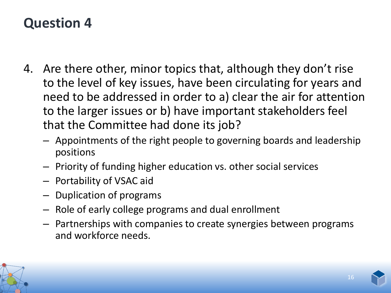- 4. Are there other, minor topics that, although they don't rise to the level of key issues, have been circulating for years and need to be addressed in order to a) clear the air for attention to the larger issues or b) have important stakeholders feel that the Committee had done its job?
	- Appointments of the right people to governing boards and leadership positions
	- Priority of funding higher education vs. other social services
	- Portability of VSAC aid
	- Duplication of programs
	- Role of early college programs and dual enrollment
	- Partnerships with companies to create synergies between programs and workforce needs.

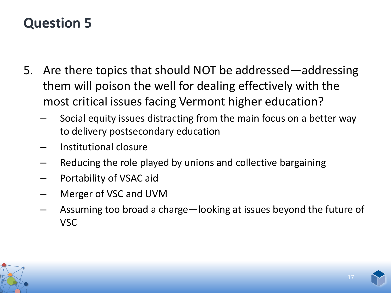- 5. Are there topics that should NOT be addressed—addressing them will poison the well for dealing effectively with the most critical issues facing Vermont higher education?
	- Social equity issues distracting from the main focus on a better way to delivery postsecondary education
	- Institutional closure
	- Reducing the role played by unions and collective bargaining
	- Portability of VSAC aid
	- Merger of VSC and UVM
	- Assuming too broad a charge—looking at issues beyond the future of VSC